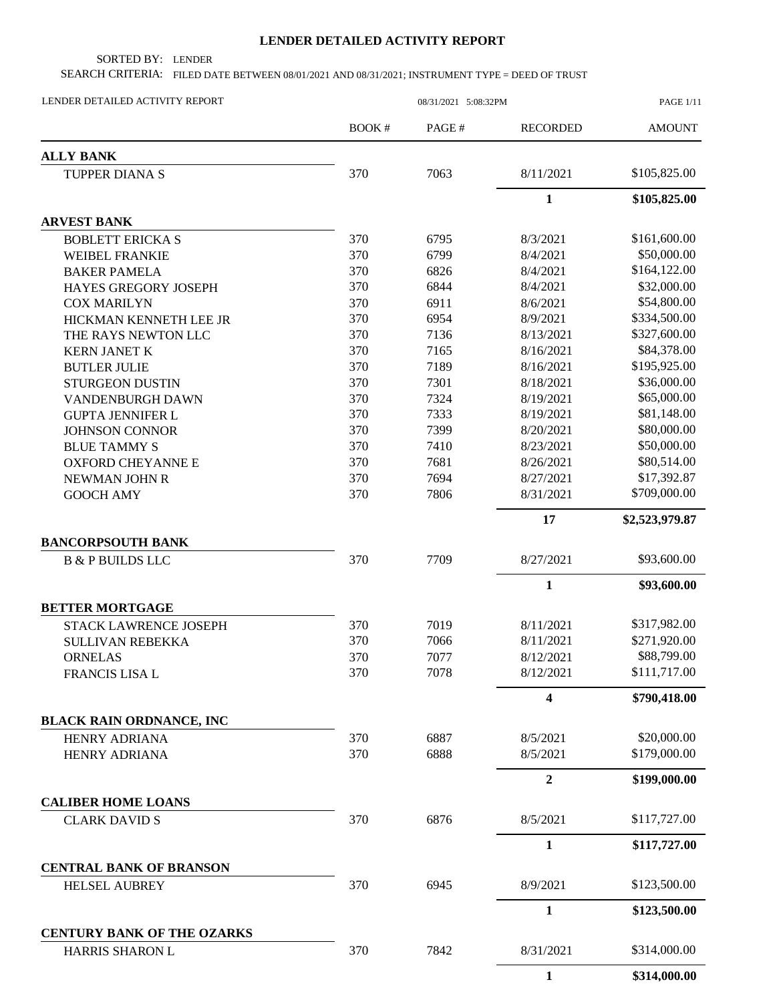## **LENDER DETAILED ACTIVITY REPORT**

SORTED BY: LENDER

SEARCH CRITERIA: FILED DATE BETWEEN 08/01/2021 AND 08/31/2021; INSTRUMENT TYPE = DEED OF TRUST

| LENDER DETAILED ACTIVITY REPORT                      |              | 08/31/2021 5:08:32PM |                  | <b>PAGE 1/11</b> |  |
|------------------------------------------------------|--------------|----------------------|------------------|------------------|--|
|                                                      | <b>BOOK#</b> | PAGE#                | <b>RECORDED</b>  | <b>AMOUNT</b>    |  |
| <b>ALLY BANK</b>                                     |              |                      |                  |                  |  |
| <b>TUPPER DIANA S</b>                                | 370          | 7063                 | 8/11/2021        | \$105,825.00     |  |
|                                                      |              |                      | $\mathbf{1}$     | \$105,825.00     |  |
| <b>ARVEST BANK</b>                                   |              |                      |                  |                  |  |
| <b>BOBLETT ERICKA S</b>                              | 370          | 6795                 | 8/3/2021         | \$161,600.00     |  |
| <b>WEIBEL FRANKIE</b>                                | 370          | 6799                 | 8/4/2021         | \$50,000.00      |  |
| <b>BAKER PAMELA</b>                                  | 370          | 6826                 | 8/4/2021         | \$164,122.00     |  |
| HAYES GREGORY JOSEPH                                 | 370          | 6844                 | 8/4/2021         | \$32,000.00      |  |
| <b>COX MARILYN</b>                                   | 370          | 6911                 | 8/6/2021         | \$54,800.00      |  |
| HICKMAN KENNETH LEE JR                               | 370          | 6954                 | 8/9/2021         | \$334,500.00     |  |
| THE RAYS NEWTON LLC                                  | 370          | 7136                 | 8/13/2021        | \$327,600.00     |  |
| <b>KERN JANET K</b>                                  | 370          | 7165                 | 8/16/2021        | \$84,378.00      |  |
| <b>BUTLER JULIE</b>                                  | 370          | 7189                 | 8/16/2021        | \$195,925.00     |  |
| <b>STURGEON DUSTIN</b>                               | 370          | 7301                 | 8/18/2021        | \$36,000.00      |  |
| VANDENBURGH DAWN                                     | 370          | 7324                 | 8/19/2021        | \$65,000.00      |  |
| <b>GUPTA JENNIFER L</b>                              | 370          | 7333                 | 8/19/2021        | \$81,148.00      |  |
| <b>JOHNSON CONNOR</b>                                | 370          | 7399                 | 8/20/2021        | \$80,000.00      |  |
| <b>BLUE TAMMY S</b>                                  | 370          | 7410                 | 8/23/2021        | \$50,000.00      |  |
| <b>OXFORD CHEYANNE E</b>                             | 370          | 7681                 | 8/26/2021        | \$80,514.00      |  |
| NEWMAN JOHN R                                        | 370          | 7694                 | 8/27/2021        | \$17,392.87      |  |
| <b>GOOCH AMY</b>                                     | 370          | 7806                 | 8/31/2021        | \$709,000.00     |  |
|                                                      |              |                      | 17               | \$2,523,979.87   |  |
| <b>BANCORPSOUTH BANK</b>                             |              |                      |                  |                  |  |
| <b>B &amp; P BUILDS LLC</b>                          | 370          | 7709                 | 8/27/2021        | \$93,600.00      |  |
|                                                      |              |                      | 1                | \$93,600.00      |  |
| <b>BETTER MORTGAGE</b>                               |              |                      |                  |                  |  |
| STACK LAWRENCE JOSEPH                                | 370          | 7019                 | 8/11/2021        | \$317,982.00     |  |
| <b>SULLIVAN REBEKKA</b>                              | 370          | 7066                 | 8/11/2021        | \$271,920.00     |  |
| <b>ORNELAS</b>                                       | 370          | 7077                 | 8/12/2021        | \$88,799.00      |  |
| <b>FRANCIS LISA L</b>                                | 370          | 7078                 | 8/12/2021        | \$111,717.00     |  |
|                                                      |              |                      | 4                | \$790,418.00     |  |
| <b>BLACK RAIN ORDNANCE, INC</b>                      |              |                      |                  |                  |  |
| <b>HENRY ADRIANA</b>                                 | 370          | 6887                 | 8/5/2021         | \$20,000.00      |  |
| <b>HENRY ADRIANA</b>                                 | 370          | 6888                 | 8/5/2021         | \$179,000.00     |  |
|                                                      |              |                      | $\boldsymbol{2}$ | \$199,000.00     |  |
| <b>CALIBER HOME LOANS</b>                            |              |                      |                  |                  |  |
| <b>CLARK DAVID S</b>                                 | 370          | 6876                 | 8/5/2021         | \$117,727.00     |  |
|                                                      |              |                      | $\mathbf{1}$     | \$117,727.00     |  |
| <b>CENTRAL BANK OF BRANSON</b>                       |              |                      |                  | \$123,500.00     |  |
| <b>HELSEL AUBREY</b>                                 | 370          | 6945                 | 8/9/2021         |                  |  |
|                                                      |              |                      | $\mathbf{1}$     | \$123,500.00     |  |
| <b>CENTURY BANK OF THE OZARKS</b><br>HARRIS SHARON L | 370          | 7842                 | 8/31/2021        | \$314,000.00     |  |
|                                                      |              |                      | 1                | \$314,000.00     |  |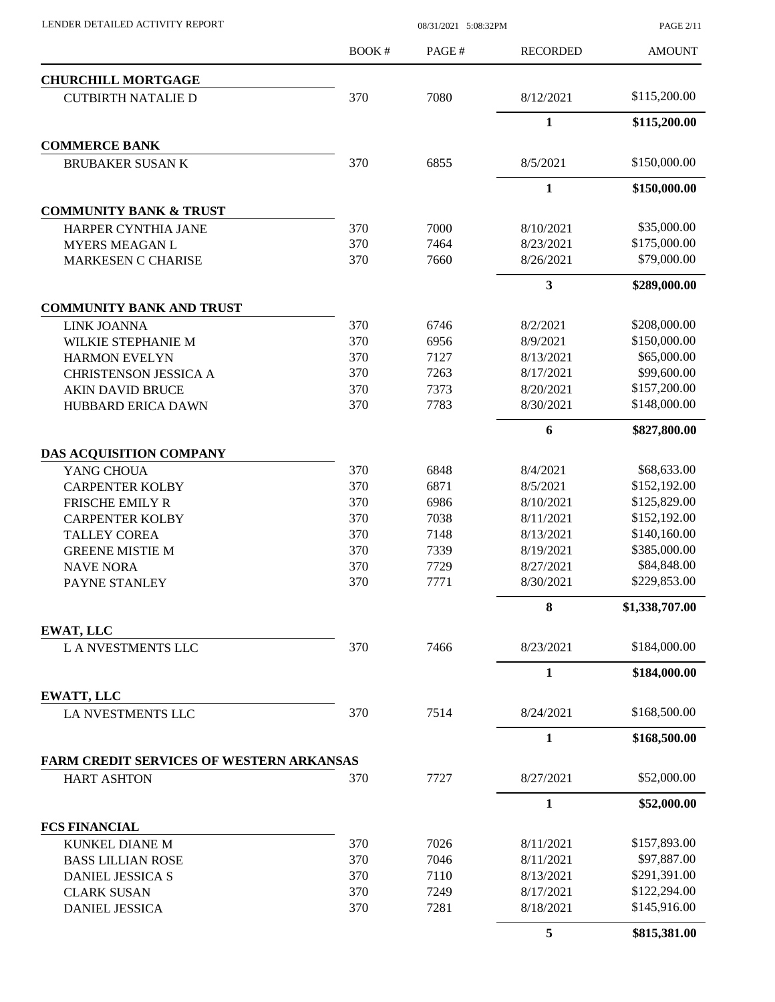| LENDER DETAILED ACTIVITY REPORT |  |
|---------------------------------|--|

08/31/2021 5:08:32PM

PAGE 2/11

|                                          | BOOK# | PAGE# | <b>RECORDED</b> | <b>AMOUNT</b>  |
|------------------------------------------|-------|-------|-----------------|----------------|
| <b>CHURCHILL MORTGAGE</b>                |       |       |                 |                |
| <b>CUTBIRTH NATALIE D</b>                | 370   | 7080  | 8/12/2021       | \$115,200.00   |
|                                          |       |       | $\mathbf{1}$    | \$115,200.00   |
| <b>COMMERCE BANK</b>                     |       |       |                 |                |
| <b>BRUBAKER SUSAN K</b>                  | 370   | 6855  | 8/5/2021        | \$150,000.00   |
|                                          |       |       | $\mathbf{1}$    | \$150,000.00   |
| <b>COMMUNITY BANK &amp; TRUST</b>        |       |       |                 |                |
| HARPER CYNTHIA JANE                      | 370   | 7000  | 8/10/2021       | \$35,000.00    |
| <b>MYERS MEAGAN L</b>                    | 370   | 7464  | 8/23/2021       | \$175,000.00   |
| <b>MARKESEN C CHARISE</b>                | 370   | 7660  | 8/26/2021       | \$79,000.00    |
|                                          |       |       | 3               | \$289,000.00   |
| <b>COMMUNITY BANK AND TRUST</b>          |       |       |                 |                |
| <b>LINK JOANNA</b>                       | 370   | 6746  | 8/2/2021        | \$208,000.00   |
| WILKIE STEPHANIE M                       | 370   | 6956  | 8/9/2021        | \$150,000.00   |
| <b>HARMON EVELYN</b>                     | 370   | 7127  | 8/13/2021       | \$65,000.00    |
| <b>CHRISTENSON JESSICA A</b>             | 370   | 7263  | 8/17/2021       | \$99,600.00    |
| <b>AKIN DAVID BRUCE</b>                  | 370   | 7373  | 8/20/2021       | \$157,200.00   |
| <b>HUBBARD ERICA DAWN</b>                | 370   | 7783  | 8/30/2021       | \$148,000.00   |
|                                          |       |       | 6               | \$827,800.00   |
| DAS ACQUISITION COMPANY                  |       |       |                 |                |
| YANG CHOUA                               | 370   | 6848  | 8/4/2021        | \$68,633.00    |
| <b>CARPENTER KOLBY</b>                   | 370   | 6871  | 8/5/2021        | \$152,192.00   |
| <b>FRISCHE EMILY R</b>                   | 370   | 6986  | 8/10/2021       | \$125,829.00   |
| <b>CARPENTER KOLBY</b>                   | 370   | 7038  | 8/11/2021       | \$152,192.00   |
| <b>TALLEY COREA</b>                      | 370   | 7148  | 8/13/2021       | \$140,160.00   |
| <b>GREENE MISTIE M</b>                   | 370   | 7339  | 8/19/2021       | \$385,000.00   |
| <b>NAVE NORA</b>                         | 370   | 7729  | 8/27/2021       | \$84,848.00    |
| PAYNE STANLEY                            | 370   | 7771  | 8/30/2021       | \$229,853.00   |
|                                          |       |       | 8               | \$1,338,707.00 |
| EWAT, LLC                                |       |       |                 |                |
| <b>LA NVESTMENTS LLC</b>                 | 370   | 7466  | 8/23/2021       | \$184,000.00   |
|                                          |       |       | $\mathbf{1}$    | \$184,000.00   |
| EWATT, LLC<br>LA NVESTMENTS LLC          | 370   | 7514  | 8/24/2021       | \$168,500.00   |
|                                          |       |       | $\mathbf{1}$    | \$168,500.00   |
| FARM CREDIT SERVICES OF WESTERN ARKANSAS |       |       |                 |                |
| <b>HART ASHTON</b>                       | 370   | 7727  | 8/27/2021       | \$52,000.00    |
|                                          |       |       | $\mathbf{1}$    | \$52,000.00    |
| <b>FCS FINANCIAL</b>                     |       |       |                 |                |
| <b>KUNKEL DIANE M</b>                    | 370   | 7026  | 8/11/2021       | \$157,893.00   |
| <b>BASS LILLIAN ROSE</b>                 | 370   | 7046  | 8/11/2021       | \$97,887.00    |
| DANIEL JESSICA S                         | 370   | 7110  | 8/13/2021       | \$291,391.00   |
| <b>CLARK SUSAN</b>                       | 370   | 7249  | 8/17/2021       | \$122,294.00   |
| <b>DANIEL JESSICA</b>                    | 370   | 7281  | 8/18/2021       | \$145,916.00   |
|                                          |       |       | 5               | \$815,381.00   |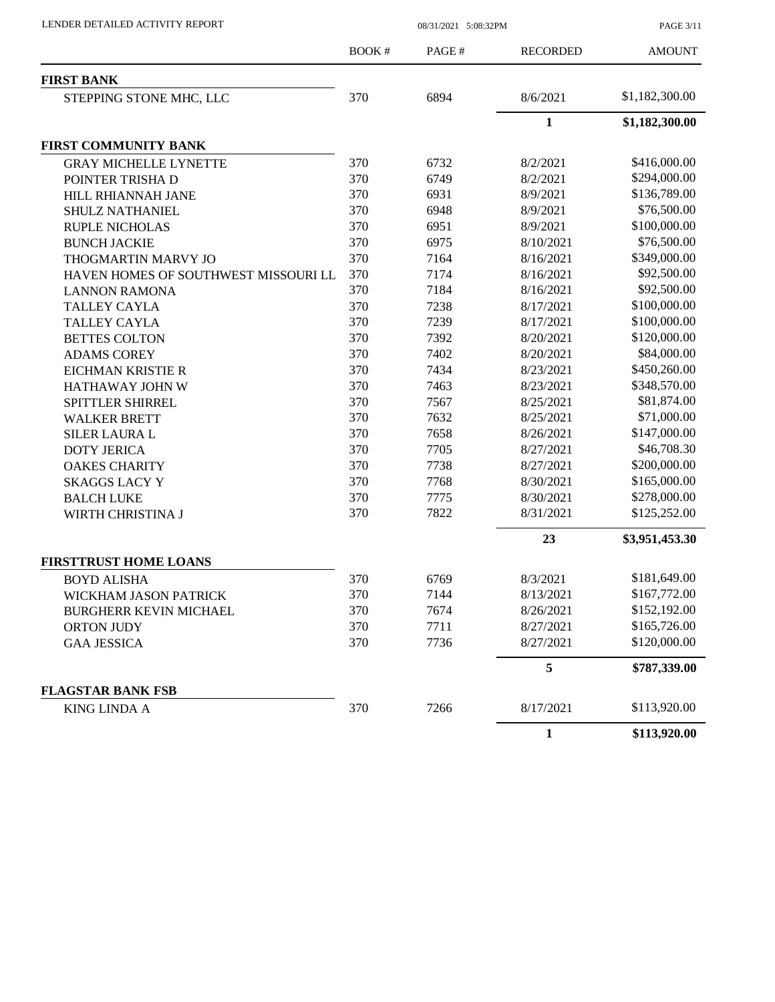PAGE 3/11

|                                      | <b>BOOK#</b> | PAGE# | <b>RECORDED</b> | <b>AMOUNT</b>  |
|--------------------------------------|--------------|-------|-----------------|----------------|
| <b>FIRST BANK</b>                    |              |       |                 |                |
| STEPPING STONE MHC, LLC              | 370          | 6894  | 8/6/2021        | \$1,182,300.00 |
|                                      |              |       | $\mathbf{1}$    | \$1,182,300.00 |
| FIRST COMMUNITY BANK                 |              |       |                 |                |
| <b>GRAY MICHELLE LYNETTE</b>         | 370          | 6732  | 8/2/2021        | \$416,000.00   |
| POINTER TRISHA D                     | 370          | 6749  | 8/2/2021        | \$294,000.00   |
| HILL RHIANNAH JANE                   | 370          | 6931  | 8/9/2021        | \$136,789.00   |
| SHULZ NATHANIEL                      | 370          | 6948  | 8/9/2021        | \$76,500.00    |
| <b>RUPLE NICHOLAS</b>                | 370          | 6951  | 8/9/2021        | \$100,000.00   |
| <b>BUNCH JACKIE</b>                  | 370          | 6975  | 8/10/2021       | \$76,500.00    |
| THOGMARTIN MARVY JO                  | 370          | 7164  | 8/16/2021       | \$349,000.00   |
| HAVEN HOMES OF SOUTHWEST MISSOURI LL | 370          | 7174  | 8/16/2021       | \$92,500.00    |
| <b>LANNON RAMONA</b>                 | 370          | 7184  | 8/16/2021       | \$92,500.00    |
| <b>TALLEY CAYLA</b>                  | 370          | 7238  | 8/17/2021       | \$100,000.00   |
| <b>TALLEY CAYLA</b>                  | 370          | 7239  | 8/17/2021       | \$100,000.00   |
| <b>BETTES COLTON</b>                 | 370          | 7392  | 8/20/2021       | \$120,000.00   |
| <b>ADAMS COREY</b>                   | 370          | 7402  | 8/20/2021       | \$84,000.00    |
| EICHMAN KRISTIE R                    | 370          | 7434  | 8/23/2021       | \$450,260.00   |
| HATHAWAY JOHN W                      | 370          | 7463  | 8/23/2021       | \$348,570.00   |
| SPITTLER SHIRREL                     | 370          | 7567  | 8/25/2021       | \$81,874.00    |
| <b>WALKER BRETT</b>                  | 370          | 7632  | 8/25/2021       | \$71,000.00    |
| <b>SILER LAURA L</b>                 | 370          | 7658  | 8/26/2021       | \$147,000.00   |
| <b>DOTY JERICA</b>                   | 370          | 7705  | 8/27/2021       | \$46,708.30    |
| <b>OAKES CHARITY</b>                 | 370          | 7738  | 8/27/2021       | \$200,000.00   |
| <b>SKAGGS LACY Y</b>                 | 370          | 7768  | 8/30/2021       | \$165,000.00   |
| <b>BALCH LUKE</b>                    | 370          | 7775  | 8/30/2021       | \$278,000.00   |
| WIRTH CHRISTINA J                    | 370          | 7822  | 8/31/2021       | \$125,252.00   |
|                                      |              |       | 23              | \$3,951,453.30 |
| <b>FIRSTTRUST HOME LOANS</b>         |              |       |                 |                |
| <b>BOYD ALISHA</b>                   | 370          | 6769  | 8/3/2021        | \$181,649.00   |
| WICKHAM JASON PATRICK                | 370          | 7144  | 8/13/2021       | \$167,772.00   |
| <b>BURGHERR KEVIN MICHAEL</b>        | 370          | 7674  | 8/26/2021       | \$152,192.00   |
| <b>ORTON JUDY</b>                    | 370          | 7711  | 8/27/2021       | \$165,726.00   |
| <b>GAA JESSICA</b>                   | 370          | 7736  | 8/27/2021       | \$120,000.00   |
|                                      |              |       | 5               | \$787,339.00   |
| <b>FLAGSTAR BANK FSB</b>             |              |       |                 |                |
| <b>KING LINDA A</b>                  | 370          | 7266  | 8/17/2021       | \$113,920.00   |
|                                      |              |       | $\mathbf{1}$    | \$113,920.00   |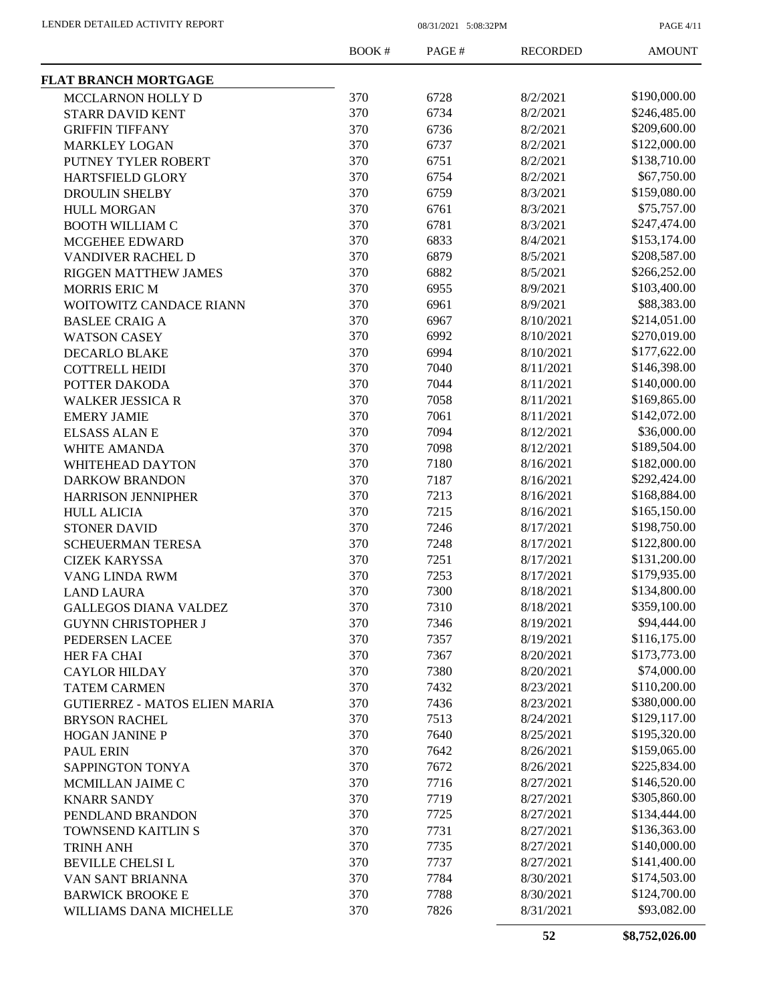PAGE 4/11

|                                      | <b>BOOK#</b> | PAGE# | <b>RECORDED</b> | <b>AMOUNT</b> |
|--------------------------------------|--------------|-------|-----------------|---------------|
| <b>FLAT BRANCH MORTGAGE</b>          |              |       |                 |               |
| MCCLARNON HOLLY D                    | 370          | 6728  | 8/2/2021        | \$190,000.00  |
| STARR DAVID KENT                     | 370          | 6734  | 8/2/2021        | \$246,485.00  |
| <b>GRIFFIN TIFFANY</b>               | 370          | 6736  | 8/2/2021        | \$209,600.00  |
| <b>MARKLEY LOGAN</b>                 | 370          | 6737  | 8/2/2021        | \$122,000.00  |
| PUTNEY TYLER ROBERT                  | 370          | 6751  | 8/2/2021        | \$138,710.00  |
| HARTSFIELD GLORY                     | 370          | 6754  | 8/2/2021        | \$67,750.00   |
| <b>DROULIN SHELBY</b>                | 370          | 6759  | 8/3/2021        | \$159,080.00  |
| <b>HULL MORGAN</b>                   | 370          | 6761  | 8/3/2021        | \$75,757.00   |
| <b>BOOTH WILLIAM C</b>               | 370          | 6781  | 8/3/2021        | \$247,474.00  |
| MCGEHEE EDWARD                       | 370          | 6833  | 8/4/2021        | \$153,174.00  |
| VANDIVER RACHEL D                    | 370          | 6879  | 8/5/2021        | \$208,587.00  |
| RIGGEN MATTHEW JAMES                 | 370          | 6882  | 8/5/2021        | \$266,252.00  |
| <b>MORRIS ERIC M</b>                 | 370          | 6955  | 8/9/2021        | \$103,400.00  |
| WOITOWITZ CANDACE RIANN              | 370          | 6961  | 8/9/2021        | \$88,383.00   |
| <b>BASLEE CRAIG A</b>                | 370          | 6967  | 8/10/2021       | \$214,051.00  |
| <b>WATSON CASEY</b>                  | 370          | 6992  | 8/10/2021       | \$270,019.00  |
| <b>DECARLO BLAKE</b>                 | 370          | 6994  | 8/10/2021       | \$177,622.00  |
| <b>COTTRELL HEIDI</b>                | 370          | 7040  | 8/11/2021       | \$146,398.00  |
| POTTER DAKODA                        | 370          | 7044  | 8/11/2021       | \$140,000.00  |
| <b>WALKER JESSICA R</b>              | 370          | 7058  | 8/11/2021       | \$169,865.00  |
| <b>EMERY JAMIE</b>                   | 370          | 7061  | 8/11/2021       | \$142,072.00  |
| <b>ELSASS ALAN E</b>                 | 370          | 7094  | 8/12/2021       | \$36,000.00   |
| WHITE AMANDA                         | 370          | 7098  | 8/12/2021       | \$189,504.00  |
| WHITEHEAD DAYTON                     | 370          | 7180  | 8/16/2021       | \$182,000.00  |
| <b>DARKOW BRANDON</b>                | 370          | 7187  | 8/16/2021       | \$292,424.00  |
| <b>HARRISON JENNIPHER</b>            | 370          | 7213  | 8/16/2021       | \$168,884.00  |
| <b>HULL ALICIA</b>                   | 370          | 7215  | 8/16/2021       | \$165,150.00  |
| <b>STONER DAVID</b>                  | 370          | 7246  | 8/17/2021       | \$198,750.00  |
| <b>SCHEUERMAN TERESA</b>             | 370          | 7248  | 8/17/2021       | \$122,800.00  |
| <b>CIZEK KARYSSA</b>                 | 370          | 7251  | 8/17/2021       | \$131,200.00  |
| VANG LINDA RWM                       | 370          | 7253  | 8/17/2021       | \$179,935.00  |
| <b>LAND LAURA</b>                    | 370          | 7300  | 8/18/2021       | \$134,800.00  |
| <b>GALLEGOS DIANA VALDEZ</b>         | 370          | 7310  | 8/18/2021       | \$359,100.00  |
| <b>GUYNN CHRISTOPHER J</b>           | 370          | 7346  | 8/19/2021       | \$94,444.00   |
| PEDERSEN LACEE                       | 370          | 7357  | 8/19/2021       | \$116,175.00  |
| HER FA CHAI                          | 370          | 7367  | 8/20/2021       | \$173,773.00  |
| <b>CAYLOR HILDAY</b>                 | 370          | 7380  | 8/20/2021       | \$74,000.00   |
| <b>TATEM CARMEN</b>                  | 370          | 7432  | 8/23/2021       | \$110,200.00  |
| <b>GUTIERREZ - MATOS ELIEN MARIA</b> | 370          | 7436  | 8/23/2021       | \$380,000.00  |
| <b>BRYSON RACHEL</b>                 | 370          | 7513  | 8/24/2021       | \$129,117.00  |
| <b>HOGAN JANINE P</b>                | 370          | 7640  | 8/25/2021       | \$195,320.00  |
| <b>PAUL ERIN</b>                     | 370          | 7642  | 8/26/2021       | \$159,065.00  |
| SAPPINGTON TONYA                     | 370          | 7672  | 8/26/2021       | \$225,834.00  |
| MCMILLAN JAIME C                     | 370          | 7716  | 8/27/2021       | \$146,520.00  |
| <b>KNARR SANDY</b>                   | 370          | 7719  | 8/27/2021       | \$305,860.00  |
| PENDLAND BRANDON                     | 370          | 7725  | 8/27/2021       | \$134,444.00  |
| <b>TOWNSEND KAITLIN S</b>            | 370          | 7731  | 8/27/2021       | \$136,363.00  |
| <b>TRINH ANH</b>                     | 370          | 7735  | 8/27/2021       | \$140,000.00  |
| <b>BEVILLE CHELSI L</b>              | 370          | 7737  | 8/27/2021       | \$141,400.00  |
| VAN SANT BRIANNA                     | 370          | 7784  | 8/30/2021       | \$174,503.00  |
| <b>BARWICK BROOKE E</b>              | 370          | 7788  | 8/30/2021       | \$124,700.00  |
| WILLIAMS DANA MICHELLE               | 370          | 7826  | 8/31/2021       | \$93,082.00   |
|                                      |              |       |                 |               |

**52 \$8,752,026.00**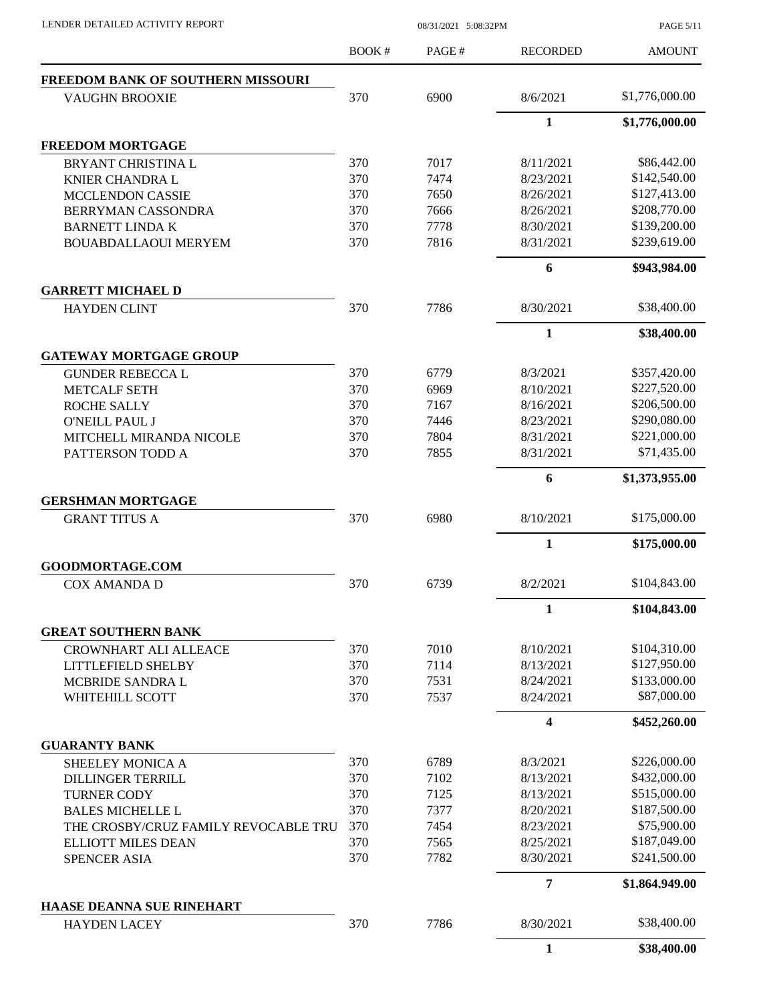PAGE 5/11

|                                                  | <b>BOOK#</b> | PAGE# | <b>RECORDED</b>         | <b>AMOUNT</b>  |
|--------------------------------------------------|--------------|-------|-------------------------|----------------|
| FREEDOM BANK OF SOUTHERN MISSOURI                |              |       |                         |                |
| <b>VAUGHN BROOXIE</b>                            | 370          | 6900  | 8/6/2021                | \$1,776,000.00 |
|                                                  |              |       | $\mathbf{1}$            | \$1,776,000.00 |
| <b>FREEDOM MORTGAGE</b>                          |              |       |                         |                |
| BRYANT CHRISTINA L                               | 370          | 7017  | 8/11/2021               | \$86,442.00    |
| <b>KNIER CHANDRA L</b>                           | 370          | 7474  | 8/23/2021               | \$142,540.00   |
| <b>MCCLENDON CASSIE</b>                          | 370          | 7650  | 8/26/2021               | \$127,413.00   |
| BERRYMAN CASSONDRA                               | 370          | 7666  | 8/26/2021               | \$208,770.00   |
| <b>BARNETT LINDA K</b>                           | 370          | 7778  | 8/30/2021               | \$139,200.00   |
| <b>BOUABDALLAOUI MERYEM</b>                      | 370          | 7816  | 8/31/2021               | \$239,619.00   |
|                                                  |              |       | 6                       | \$943,984.00   |
| <b>GARRETT MICHAEL D</b>                         |              |       |                         |                |
| <b>HAYDEN CLINT</b>                              | 370          | 7786  | 8/30/2021               | \$38,400.00    |
|                                                  |              |       | $\mathbf{1}$            | \$38,400.00    |
| <b>GATEWAY MORTGAGE GROUP</b>                    |              |       |                         |                |
| <b>GUNDER REBECCA L</b>                          | 370          | 6779  | 8/3/2021                | \$357,420.00   |
| <b>METCALF SETH</b>                              | 370          | 6969  | 8/10/2021               | \$227,520.00   |
| <b>ROCHE SALLY</b>                               | 370          | 7167  | 8/16/2021               | \$206,500.00   |
| <b>O'NEILL PAUL J</b>                            | 370          | 7446  | 8/23/2021               | \$290,080.00   |
| MITCHELL MIRANDA NICOLE                          | 370          | 7804  | 8/31/2021               | \$221,000.00   |
| PATTERSON TODD A                                 | 370          | 7855  | 8/31/2021               | \$71,435.00    |
|                                                  |              |       | 6                       | \$1,373,955.00 |
| <b>GERSHMAN MORTGAGE</b><br><b>GRANT TITUS A</b> | 370          | 6980  | 8/10/2021               | \$175,000.00   |
|                                                  |              |       | $\mathbf{1}$            | \$175,000.00   |
| <b>GOODMORTAGE.COM</b>                           |              |       |                         |                |
| <b>COX AMANDA D</b>                              | 370          | 6739  | 8/2/2021                | \$104,843.00   |
|                                                  |              |       | 1                       | \$104,843.00   |
| <b>GREAT SOUTHERN BANK</b>                       |              |       |                         |                |
| <b>CROWNHART ALI ALLEACE</b>                     | 370          | 7010  | 8/10/2021               | \$104,310.00   |
| <b>LITTLEFIELD SHELBY</b>                        | 370          | 7114  | 8/13/2021               | \$127,950.00   |
| MCBRIDE SANDRA L                                 | 370          | 7531  | 8/24/2021               | \$133,000.00   |
| WHITEHILL SCOTT                                  | 370          | 7537  | 8/24/2021               | \$87,000.00    |
|                                                  |              |       | $\overline{\mathbf{4}}$ | \$452,260.00   |
| <b>GUARANTY BANK</b>                             |              |       |                         |                |
| SHEELEY MONICA A                                 | 370          | 6789  | 8/3/2021                | \$226,000.00   |
| <b>DILLINGER TERRILL</b>                         | 370          | 7102  | 8/13/2021               | \$432,000.00   |
| <b>TURNER CODY</b>                               | 370          | 7125  | 8/13/2021               | \$515,000.00   |
| <b>BALES MICHELLE L</b>                          | 370          | 7377  | 8/20/2021               | \$187,500.00   |
| THE CROSBY/CRUZ FAMILY REVOCABLE TRU             | 370          | 7454  | 8/23/2021               | \$75,900.00    |
| <b>ELLIOTT MILES DEAN</b>                        | 370          | 7565  | 8/25/2021               | \$187,049.00   |
| <b>SPENCER ASIA</b>                              | 370          | 7782  | 8/30/2021               | \$241,500.00   |
|                                                  |              |       | 7                       | \$1,864,949.00 |
| <b>HAASE DEANNA SUE RINEHART</b>                 |              |       |                         |                |
| <b>HAYDEN LACEY</b>                              | 370          | 7786  | 8/30/2021               | \$38,400.00    |
|                                                  |              |       | 1                       | \$38,400.00    |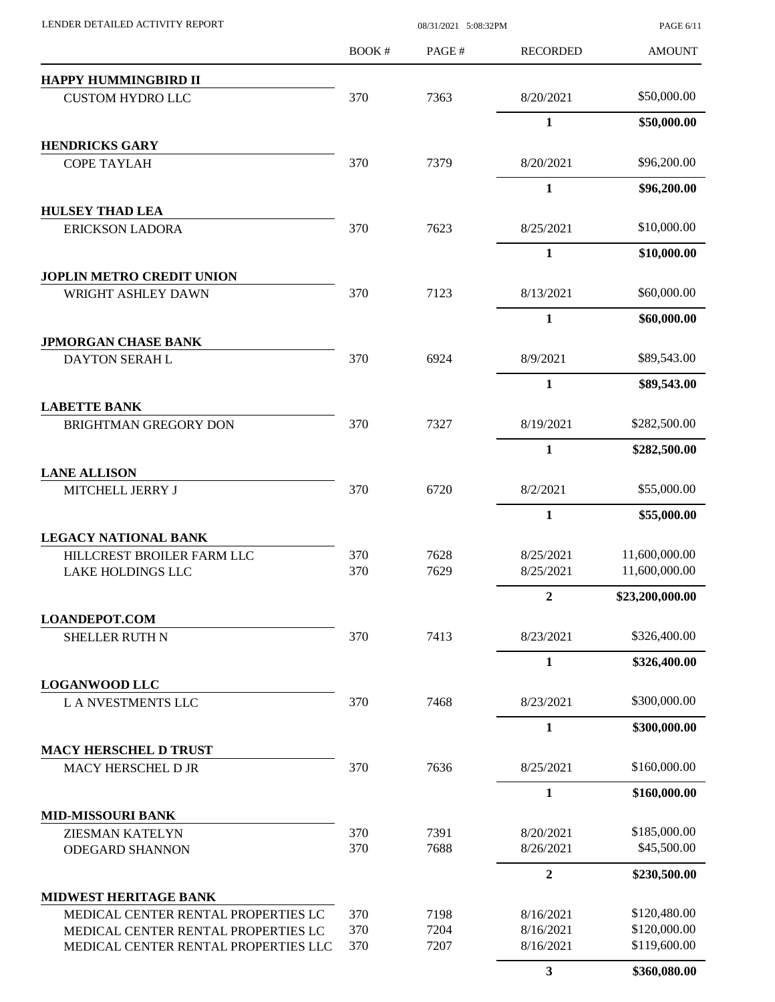| LENDER DETAILED ACTIVITY REPORT                        |            |              | PAGE 6/11<br>08/31/2021 5:08:32PM |                                |  |
|--------------------------------------------------------|------------|--------------|-----------------------------------|--------------------------------|--|
|                                                        | BOOK#      | PAGE#        | <b>RECORDED</b>                   | <b>AMOUNT</b>                  |  |
| HAPPY HUMMINGBIRD II                                   |            |              |                                   |                                |  |
| <b>CUSTOM HYDRO LLC</b>                                | 370        | 7363         | 8/20/2021                         | \$50,000.00                    |  |
|                                                        |            |              | $\mathbf{1}$                      | \$50,000.00                    |  |
| <b>HENDRICKS GARY</b><br><b>COPE TAYLAH</b>            | 370        | 7379         | 8/20/2021                         | \$96,200.00                    |  |
|                                                        |            |              | $\mathbf{1}$                      | \$96,200.00                    |  |
| <b>HULSEY THAD LEA</b>                                 |            |              |                                   |                                |  |
| <b>ERICKSON LADORA</b>                                 | 370        | 7623         | 8/25/2021                         | \$10,000.00                    |  |
|                                                        |            |              | $\mathbf{1}$                      | \$10,000.00                    |  |
| <b>JOPLIN METRO CREDIT UNION</b>                       |            |              |                                   |                                |  |
| WRIGHT ASHLEY DAWN                                     | 370        | 7123         | 8/13/2021                         | \$60,000.00                    |  |
|                                                        |            |              | 1                                 | \$60,000.00                    |  |
| <b>JPMORGAN CHASE BANK</b>                             |            |              |                                   |                                |  |
| DAYTON SERAH L                                         | 370        | 6924         | 8/9/2021                          | \$89,543.00                    |  |
|                                                        |            |              | $\mathbf{1}$                      | \$89,543.00                    |  |
| <b>LABETTE BANK</b>                                    |            |              |                                   |                                |  |
| <b>BRIGHTMAN GREGORY DON</b>                           | 370        | 7327         | 8/19/2021                         | \$282,500.00                   |  |
|                                                        |            |              | 1                                 | \$282,500.00                   |  |
| <b>LANE ALLISON</b>                                    |            |              |                                   |                                |  |
| MITCHELL JERRY J                                       | 370        | 6720         | 8/2/2021                          | \$55,000.00                    |  |
|                                                        |            |              | 1                                 | \$55,000.00                    |  |
| <b>LEGACY NATIONAL BANK</b>                            |            |              |                                   |                                |  |
| HILLCREST BROILER FARM LLC<br><b>LAKE HOLDINGS LLC</b> | 370<br>370 | 7628<br>7629 | 8/25/2021<br>8/25/2021            | 11,600,000.00<br>11,600,000.00 |  |
|                                                        |            |              | $\overline{2}$                    | \$23,200,000.00                |  |
| <b>LOANDEPOT.COM</b>                                   |            |              |                                   |                                |  |
| <b>SHELLER RUTH N</b>                                  | 370        | 7413         | 8/23/2021                         | \$326,400.00                   |  |
|                                                        |            |              | 1                                 | \$326,400.00                   |  |
| <b>LOGANWOOD LLC</b>                                   |            |              |                                   |                                |  |
| <b>LA NVESTMENTS LLC</b>                               | 370        | 7468         | 8/23/2021                         | \$300,000.00                   |  |
|                                                        |            |              | $\mathbf{1}$                      | \$300,000.00                   |  |
| <b>MACY HERSCHEL D TRUST</b><br>MACY HERSCHEL D JR     | 370        | 7636         | 8/25/2021                         | \$160,000.00                   |  |
|                                                        |            |              | $\mathbf{1}$                      | \$160,000.00                   |  |
| <b>MID-MISSOURI BANK</b>                               |            |              |                                   |                                |  |
| <b>ZIESMAN KATELYN</b>                                 | 370        | 7391         | 8/20/2021                         | \$185,000.00                   |  |
| <b>ODEGARD SHANNON</b>                                 | 370        | 7688         | 8/26/2021                         | \$45,500.00                    |  |
|                                                        |            |              | $\boldsymbol{2}$                  | \$230,500.00                   |  |
| <b>MIDWEST HERITAGE BANK</b>                           |            |              |                                   |                                |  |
| MEDICAL CENTER RENTAL PROPERTIES LC                    | 370        | 7198         | 8/16/2021                         | \$120,480.00                   |  |
| MEDICAL CENTER RENTAL PROPERTIES LC                    | 370        | 7204         | 8/16/2021                         | \$120,000.00                   |  |
| MEDICAL CENTER RENTAL PROPERTIES LLC                   | 370        | 7207         | 8/16/2021                         | \$119,600.00                   |  |
|                                                        |            |              | $\mathbf{3}$                      | \$360,080.00                   |  |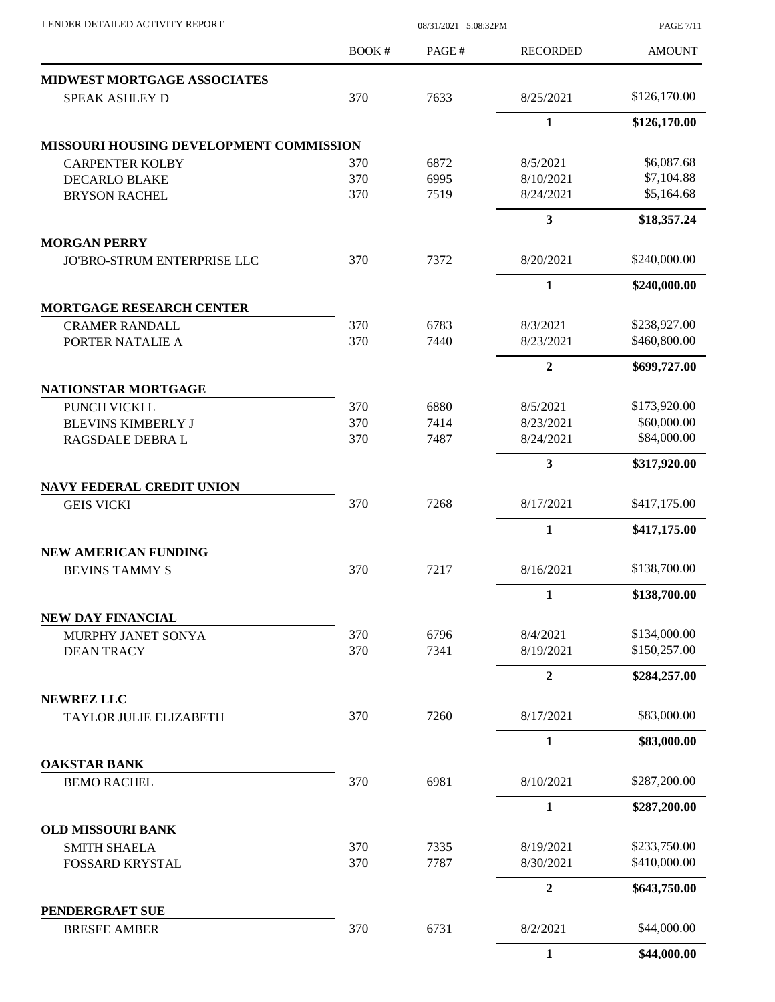| LENDER DETAILED ACTIVITY REPORT         |              | 08/31/2021 5:08:32PM |                  | <b>PAGE 7/11</b> |  |  |
|-----------------------------------------|--------------|----------------------|------------------|------------------|--|--|
|                                         | <b>BOOK#</b> | PAGE#                | <b>RECORDED</b>  | <b>AMOUNT</b>    |  |  |
| MIDWEST MORTGAGE ASSOCIATES             |              |                      |                  |                  |  |  |
| <b>SPEAK ASHLEY D</b>                   | 370          | 7633                 | 8/25/2021        | \$126,170.00     |  |  |
|                                         |              |                      | 1                | \$126,170.00     |  |  |
| MISSOURI HOUSING DEVELOPMENT COMMISSION |              |                      |                  |                  |  |  |
| <b>CARPENTER KOLBY</b>                  | 370          | 6872                 | 8/5/2021         | \$6,087.68       |  |  |
| <b>DECARLO BLAKE</b>                    | 370          | 6995                 | 8/10/2021        | \$7,104.88       |  |  |
| <b>BRYSON RACHEL</b>                    | 370          | 7519                 | 8/24/2021        | \$5,164.68       |  |  |
|                                         |              |                      | 3                | \$18,357.24      |  |  |
| <b>MORGAN PERRY</b>                     |              |                      |                  |                  |  |  |
| JO'BRO-STRUM ENTERPRISE LLC             | 370          | 7372                 | 8/20/2021        | \$240,000.00     |  |  |
|                                         |              |                      | $\mathbf{1}$     | \$240,000.00     |  |  |
| <b>MORTGAGE RESEARCH CENTER</b>         |              |                      |                  |                  |  |  |
| <b>CRAMER RANDALL</b>                   | 370          | 6783                 | 8/3/2021         | \$238,927.00     |  |  |
| PORTER NATALIE A                        | 370          | 7440                 | 8/23/2021        | \$460,800.00     |  |  |
|                                         |              |                      | $\overline{2}$   | \$699,727.00     |  |  |
| NATIONSTAR MORTGAGE                     |              |                      |                  |                  |  |  |
| PUNCH VICKI L                           | 370          | 6880                 | 8/5/2021         | \$173,920.00     |  |  |
| <b>BLEVINS KIMBERLY J</b>               | 370          | 7414                 | 8/23/2021        | \$60,000.00      |  |  |
| RAGSDALE DEBRA L                        | 370          | 7487                 | 8/24/2021        | \$84,000.00      |  |  |
|                                         |              |                      | 3                | \$317,920.00     |  |  |
| <b>NAVY FEDERAL CREDIT UNION</b>        |              |                      |                  |                  |  |  |
| <b>GEIS VICKI</b>                       | 370          | 7268                 | 8/17/2021        | \$417,175.00     |  |  |
|                                         |              |                      | $\mathbf{1}$     | \$417,175.00     |  |  |
| <b>NEW AMERICAN FUNDING</b>             |              |                      |                  |                  |  |  |
| <b>BEVINS TAMMY S</b>                   | 370          | 7217                 | 8/16/2021        | \$138,700.00     |  |  |
|                                         |              |                      | 1                | \$138,700.00     |  |  |
| <b>NEW DAY FINANCIAL</b>                |              |                      |                  |                  |  |  |
| MURPHY JANET SONYA                      | 370          | 6796                 | 8/4/2021         | \$134,000.00     |  |  |
| <b>DEAN TRACY</b>                       | 370          | 7341                 | 8/19/2021        | \$150,257.00     |  |  |
|                                         |              |                      | $\boldsymbol{2}$ | \$284,257.00     |  |  |
| <b>NEWREZ LLC</b>                       |              |                      |                  |                  |  |  |
| TAYLOR JULIE ELIZABETH                  | 370          | 7260                 | 8/17/2021        | \$83,000.00      |  |  |
|                                         |              |                      | $\mathbf{1}$     | \$83,000.00      |  |  |
| <b>OAKSTAR BANK</b>                     |              |                      |                  |                  |  |  |
| <b>BEMO RACHEL</b>                      | 370          | 6981                 | 8/10/2021        | \$287,200.00     |  |  |
|                                         |              |                      | $\mathbf{1}$     | \$287,200.00     |  |  |
| <b>OLD MISSOURI BANK</b>                |              |                      |                  |                  |  |  |
| <b>SMITH SHAELA</b>                     | 370          | 7335                 | 8/19/2021        | \$233,750.00     |  |  |
| FOSSARD KRYSTAL                         | 370          | 7787                 | 8/30/2021        | \$410,000.00     |  |  |
|                                         |              |                      | $\boldsymbol{2}$ | \$643,750.00     |  |  |
| PENDERGRAFT SUE<br><b>BRESEE AMBER</b>  | 370          | 6731                 | 8/2/2021         | \$44,000.00      |  |  |
|                                         |              |                      |                  |                  |  |  |
|                                         |              |                      | $\mathbf{1}$     | \$44,000.00      |  |  |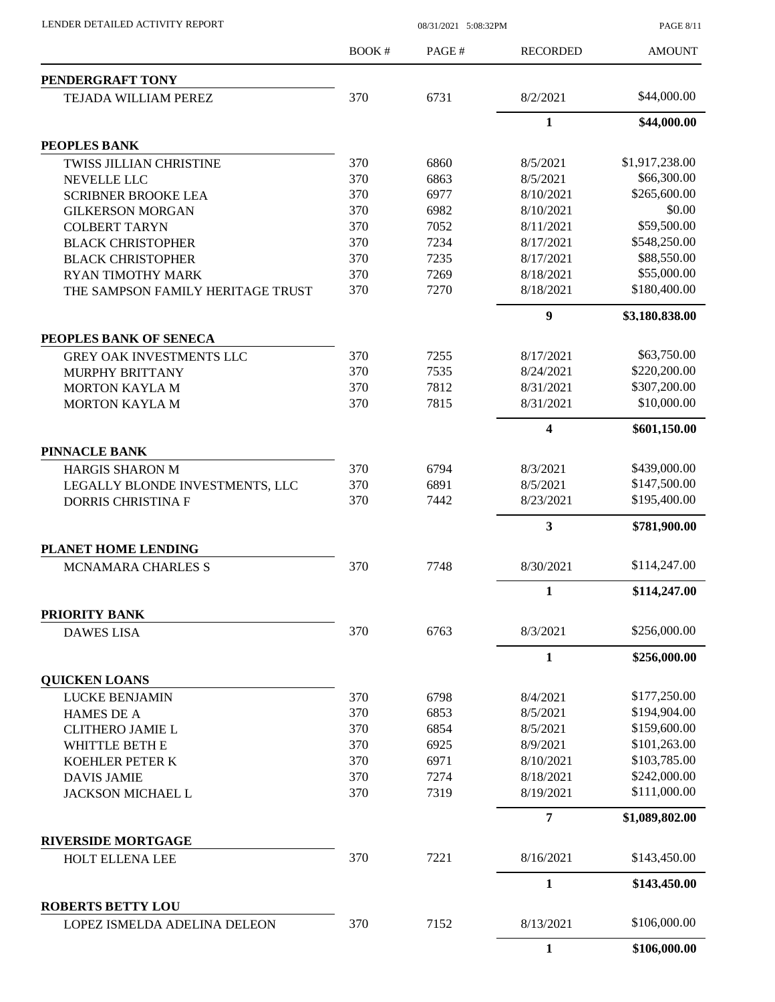|                                    | BOOK# | PAGE# | <b>RECORDED</b> | <b>AMOUNT</b>  |
|------------------------------------|-------|-------|-----------------|----------------|
| PENDERGRAFT TONY                   |       |       |                 |                |
| TEJADA WILLIAM PEREZ               | 370   | 6731  | 8/2/2021        | \$44,000.00    |
|                                    |       |       | $\mathbf{1}$    | \$44,000.00    |
| PEOPLES BANK                       |       |       |                 |                |
| <b>TWISS JILLIAN CHRISTINE</b>     | 370   | 6860  | 8/5/2021        | \$1,917,238.00 |
| <b>NEVELLE LLC</b>                 | 370   | 6863  | 8/5/2021        | \$66,300.00    |
| <b>SCRIBNER BROOKE LEA</b>         | 370   | 6977  | 8/10/2021       | \$265,600.00   |
| <b>GILKERSON MORGAN</b>            | 370   | 6982  | 8/10/2021       | \$0.00         |
| <b>COLBERT TARYN</b>               | 370   | 7052  | 8/11/2021       | \$59,500.00    |
| <b>BLACK CHRISTOPHER</b>           | 370   | 7234  | 8/17/2021       | \$548,250.00   |
| <b>BLACK CHRISTOPHER</b>           | 370   | 7235  | 8/17/2021       | \$88,550.00    |
| <b>RYAN TIMOTHY MARK</b>           | 370   | 7269  | 8/18/2021       | \$55,000.00    |
| THE SAMPSON FAMILY HERITAGE TRUST  | 370   | 7270  | 8/18/2021       | \$180,400.00   |
|                                    |       |       | 9               | \$3,180,838.00 |
| PEOPLES BANK OF SENECA             |       |       |                 |                |
| <b>GREY OAK INVESTMENTS LLC</b>    | 370   | 7255  | 8/17/2021       | \$63,750.00    |
| <b>MURPHY BRITTANY</b>             | 370   | 7535  | 8/24/2021       | \$220,200.00   |
| <b>MORTON KAYLA M</b>              | 370   | 7812  | 8/31/2021       | \$307,200.00   |
| <b>MORTON KAYLA M</b>              | 370   | 7815  | 8/31/2021       | \$10,000.00    |
|                                    |       |       | 4               | \$601,150.00   |
| <b>PINNACLE BANK</b>               |       |       |                 |                |
| <b>HARGIS SHARON M</b>             | 370   | 6794  | 8/3/2021        | \$439,000.00   |
| LEGALLY BLONDE INVESTMENTS, LLC    | 370   | 6891  | 8/5/2021        | \$147,500.00   |
| <b>DORRIS CHRISTINA F</b>          | 370   | 7442  | 8/23/2021       | \$195,400.00   |
|                                    |       |       | 3               | \$781,900.00   |
| PLANET HOME LENDING                |       |       |                 |                |
| <b>MCNAMARA CHARLES S</b>          | 370   | 7748  | 8/30/2021       | \$114,247.00   |
|                                    |       |       | 1               | \$114,247.00   |
| PRIORITY BANK<br><b>DAWES LISA</b> | 370   | 6763  | 8/3/2021        | \$256,000.00   |
|                                    |       |       |                 |                |
| <b>QUICKEN LOANS</b>               |       |       | 1               | \$256,000.00   |
| <b>LUCKE BENJAMIN</b>              | 370   | 6798  | 8/4/2021        | \$177,250.00   |
| <b>HAMES DE A</b>                  | 370   | 6853  | 8/5/2021        | \$194,904.00   |
| <b>CLITHERO JAMIE L</b>            | 370   | 6854  | 8/5/2021        | \$159,600.00   |
| WHITTLE BETH E                     | 370   | 6925  | 8/9/2021        | \$101,263.00   |
| KOEHLER PETER K                    | 370   | 6971  | 8/10/2021       | \$103,785.00   |
| <b>DAVIS JAMIE</b>                 | 370   | 7274  | 8/18/2021       | \$242,000.00   |
| <b>JACKSON MICHAEL L</b>           | 370   | 7319  | 8/19/2021       | \$111,000.00   |
|                                    |       |       |                 |                |
| <b>RIVERSIDE MORTGAGE</b>          |       |       | 7               | \$1,089,802.00 |
| HOLT ELLENA LEE                    | 370   | 7221  | 8/16/2021       | \$143,450.00   |
|                                    |       |       | 1               | \$143,450.00   |
| <b>ROBERTS BETTY LOU</b>           |       |       |                 |                |
| LOPEZ ISMELDA ADELINA DELEON       | 370   | 7152  | 8/13/2021       | \$106,000.00   |
|                                    |       |       | $\mathbf{1}$    | \$106,000.00   |

LENDER DETAILED ACTIVITY REPORT 08/31/2021 5:08:32PM

PAGE 8/11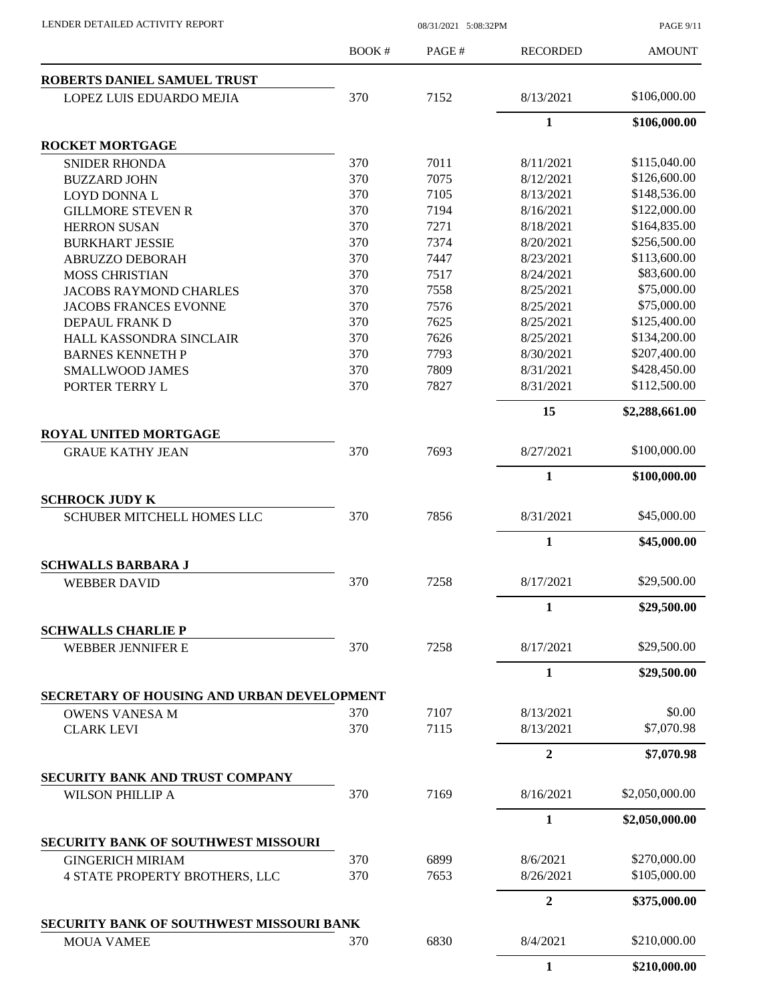|                                            | <b>BOOK#</b> | PAGE# | <b>RECORDED</b>  | <b>AMOUNT</b>  |
|--------------------------------------------|--------------|-------|------------------|----------------|
| ROBERTS DANIEL SAMUEL TRUST                |              |       |                  |                |
| LOPEZ LUIS EDUARDO MEJIA                   | 370          | 7152  | 8/13/2021        | \$106,000.00   |
|                                            |              |       | $\mathbf{1}$     | \$106,000.00   |
| <b>ROCKET MORTGAGE</b>                     |              |       |                  |                |
| <b>SNIDER RHONDA</b>                       | 370          | 7011  | 8/11/2021        | \$115,040.00   |
| <b>BUZZARD JOHN</b>                        | 370          | 7075  | 8/12/2021        | \$126,600.00   |
| <b>LOYD DONNAL</b>                         | 370          | 7105  | 8/13/2021        | \$148,536.00   |
| <b>GILLMORE STEVEN R</b>                   | 370          | 7194  | 8/16/2021        | \$122,000.00   |
| <b>HERRON SUSAN</b>                        | 370          | 7271  | 8/18/2021        | \$164,835.00   |
| <b>BURKHART JESSIE</b>                     | 370          | 7374  | 8/20/2021        | \$256,500.00   |
| ABRUZZO DEBORAH                            | 370          | 7447  | 8/23/2021        | \$113,600.00   |
| <b>MOSS CHRISTIAN</b>                      | 370          | 7517  | 8/24/2021        | \$83,600.00    |
| <b>JACOBS RAYMOND CHARLES</b>              | 370          | 7558  | 8/25/2021        | \$75,000.00    |
| <b>JACOBS FRANCES EVONNE</b>               | 370          | 7576  | 8/25/2021        | \$75,000.00    |
| DEPAUL FRANK D                             | 370          | 7625  | 8/25/2021        | \$125,400.00   |
| HALL KASSONDRA SINCLAIR                    | 370          | 7626  | 8/25/2021        | \$134,200.00   |
| <b>BARNES KENNETH P</b>                    | 370          | 7793  | 8/30/2021        | \$207,400.00   |
| <b>SMALLWOOD JAMES</b>                     | 370          | 7809  | 8/31/2021        | \$428,450.00   |
| PORTER TERRY L                             | 370          | 7827  | 8/31/2021        | \$112,500.00   |
|                                            |              |       | 15               | \$2,288,661.00 |
| <b>ROYAL UNITED MORTGAGE</b>               |              |       |                  |                |
| <b>GRAUE KATHY JEAN</b>                    | 370          | 7693  | 8/27/2021        | \$100,000.00   |
|                                            |              |       | 1                | \$100,000.00   |
| <b>SCHROCK JUDY K</b>                      |              |       |                  |                |
| <b>SCHUBER MITCHELL HOMES LLC</b>          | 370          | 7856  | 8/31/2021        | \$45,000.00    |
|                                            |              |       | $\mathbf{1}$     | \$45,000.00    |
| <b>SCHWALLS BARBARA J</b>                  |              |       |                  |                |
| <b>WEBBER DAVID</b>                        | 370          | 7258  | 8/17/2021        | \$29,500.00    |
|                                            |              |       | 1                | \$29,500.00    |
| <b>SCHWALLS CHARLIE P</b>                  |              |       |                  |                |
| <b>WEBBER JENNIFER E</b>                   | 370          | 7258  | 8/17/2021        | \$29,500.00    |
|                                            |              |       | 1                | \$29,500.00    |
| SECRETARY OF HOUSING AND URBAN DEVELOPMENT |              |       |                  |                |
| <b>OWENS VANESA M</b>                      | 370          | 7107  | 8/13/2021        | \$0.00         |
| <b>CLARK LEVI</b>                          | 370          | 7115  | 8/13/2021        | \$7,070.98     |
|                                            |              |       | $\boldsymbol{2}$ | \$7,070.98     |
| SECURITY BANK AND TRUST COMPANY            |              |       |                  |                |
| <b>WILSON PHILLIP A</b>                    | 370          | 7169  | 8/16/2021        | \$2,050,000.00 |
|                                            |              |       | 1                | \$2,050,000.00 |
| <b>SECURITY BANK OF SOUTHWEST MISSOURI</b> |              |       |                  |                |
| <b>GINGERICH MIRIAM</b>                    | 370          | 6899  | 8/6/2021         | \$270,000.00   |
| 4 STATE PROPERTY BROTHERS, LLC             | 370          | 7653  | 8/26/2021        | \$105,000.00   |
|                                            |              |       | $\mathbf{2}$     | \$375,000.00   |
| SECURITY BANK OF SOUTHWEST MISSOURI BANK   |              |       |                  |                |
| <b>MOUA VAMEE</b>                          | 370          | 6830  | 8/4/2021         | \$210,000.00   |
|                                            |              |       | $\mathbf{1}$     | \$210,000.00   |

LENDER DETAILED ACTIVITY REPORT 08/31/2021 5:08:32PM

PAGE 9/11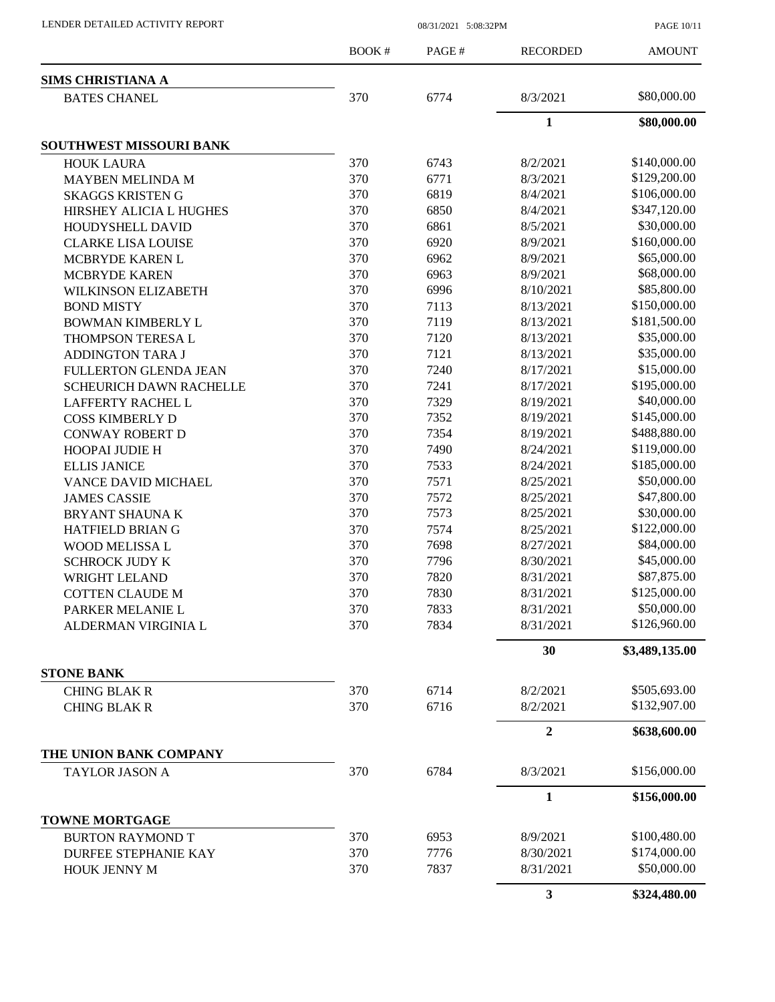| <b>SIMS CHRISTIANA A</b><br><b>BATES CHANEL</b> | 370 | 6774 | 8/3/2021       |                |
|-------------------------------------------------|-----|------|----------------|----------------|
|                                                 |     |      |                |                |
|                                                 |     |      |                | \$80,000.00    |
|                                                 |     |      | $\mathbf{1}$   | \$80,000.00    |
| SOUTHWEST MISSOURI BANK                         |     |      |                |                |
| <b>HOUK LAURA</b>                               | 370 | 6743 | 8/2/2021       | \$140,000.00   |
| MAYBEN MELINDA M                                | 370 | 6771 | 8/3/2021       | \$129,200.00   |
| <b>SKAGGS KRISTEN G</b>                         | 370 | 6819 | 8/4/2021       | \$106,000.00   |
| HIRSHEY ALICIA L HUGHES                         | 370 | 6850 | 8/4/2021       | \$347,120.00   |
| HOUDYSHELL DAVID                                | 370 | 6861 | 8/5/2021       | \$30,000.00    |
| <b>CLARKE LISA LOUISE</b>                       | 370 | 6920 | 8/9/2021       | \$160,000.00   |
| MCBRYDE KAREN L                                 | 370 | 6962 | 8/9/2021       | \$65,000.00    |
| <b>MCBRYDE KAREN</b>                            | 370 | 6963 | 8/9/2021       | \$68,000.00    |
| <b>WILKINSON ELIZABETH</b>                      | 370 | 6996 | 8/10/2021      | \$85,800.00    |
| <b>BOND MISTY</b>                               | 370 | 7113 | 8/13/2021      | \$150,000.00   |
| BOWMAN KIMBERLY L                               | 370 | 7119 | 8/13/2021      | \$181,500.00   |
| THOMPSON TERESA L                               | 370 | 7120 | 8/13/2021      | \$35,000.00    |
| <b>ADDINGTON TARA J</b>                         | 370 | 7121 | 8/13/2021      | \$35,000.00    |
| FULLERTON GLENDA JEAN                           | 370 | 7240 | 8/17/2021      | \$15,000.00    |
| <b>SCHEURICH DAWN RACHELLE</b>                  | 370 | 7241 | 8/17/2021      | \$195,000.00   |
| <b>LAFFERTY RACHEL L</b>                        | 370 | 7329 | 8/19/2021      | \$40,000.00    |
| <b>COSS KIMBERLY D</b>                          | 370 | 7352 | 8/19/2021      | \$145,000.00   |
| <b>CONWAY ROBERT D</b>                          | 370 | 7354 | 8/19/2021      | \$488,880.00   |
| <b>HOOPAI JUDIE H</b>                           | 370 | 7490 | 8/24/2021      | \$119,000.00   |
| <b>ELLIS JANICE</b>                             | 370 | 7533 | 8/24/2021      | \$185,000.00   |
| VANCE DAVID MICHAEL                             | 370 | 7571 | 8/25/2021      | \$50,000.00    |
| <b>JAMES CASSIE</b>                             | 370 | 7572 | 8/25/2021      | \$47,800.00    |
| <b>BRYANT SHAUNA K</b>                          | 370 | 7573 | 8/25/2021      | \$30,000.00    |
| HATFIELD BRIAN G                                | 370 | 7574 | 8/25/2021      | \$122,000.00   |
| WOOD MELISSA L                                  | 370 | 7698 | 8/27/2021      | \$84,000.00    |
| <b>SCHROCK JUDY K</b>                           | 370 | 7796 | 8/30/2021      | \$45,000.00    |
| WRIGHT LELAND                                   | 370 | 7820 | 8/31/2021      | \$87,875.00    |
| <b>COTTEN CLAUDE M</b>                          | 370 | 7830 | 8/31/2021      | \$125,000.00   |
| PARKER MELANIE L                                | 370 | 7833 | 8/31/2021      | \$50,000.00    |
|                                                 |     |      |                | \$126,960.00   |
| ALDERMAN VIRGINIA L                             | 370 | 7834 | 8/31/2021      |                |
|                                                 |     |      | 30             | \$3,489,135.00 |
| <b>STONE BANK</b><br><b>CHING BLAK R</b>        | 370 | 6714 | 8/2/2021       | \$505,693.00   |
|                                                 | 370 | 6716 |                | \$132,907.00   |
| <b>CHING BLAK R</b>                             |     |      | 8/2/2021       |                |
|                                                 |     |      | $\overline{2}$ | \$638,600.00   |
| THE UNION BANK COMPANY<br>TAYLOR JASON A        | 370 | 6784 | 8/3/2021       | \$156,000.00   |
|                                                 |     |      | $\mathbf{1}$   | \$156,000.00   |
| <b>TOWNE MORTGAGE</b>                           |     |      |                |                |
| <b>BURTON RAYMOND T</b>                         | 370 | 6953 | 8/9/2021       | \$100,480.00   |
| <b>DURFEE STEPHANIE KAY</b>                     | 370 | 7776 | 8/30/2021      | \$174,000.00   |
| HOUK JENNY M                                    | 370 | 7837 | 8/31/2021      | \$50,000.00    |
|                                                 |     |      | $\mathbf{3}$   | \$324,480.00   |

LENDER DETAILED ACTIVITY REPORT 08/31/2021 5:08:32PM

PAGE 10/11